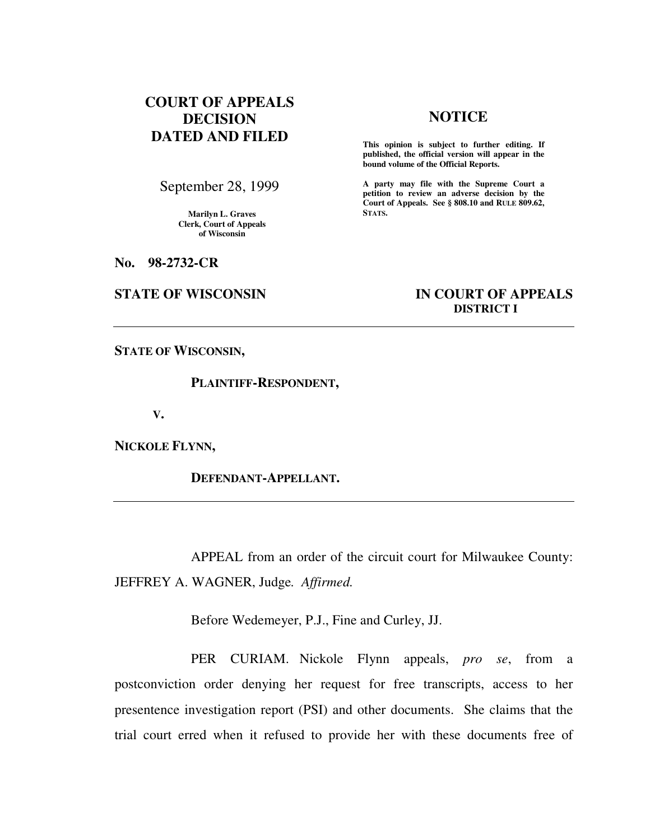# **COURT OF APPEALS DECISION DATED AND FILED**

# **NOTICE**

**This opinion is subject to further editing. If published, the official version will appear in the bound volume of the Official Reports.**

**A party may file with the Supreme Court a petition to review an adverse decision by the Court of Appeals. See § 808.10 and RULE 809.62, STATS.** 

**Marilyn L. Graves** 

**Clerk, Court of Appeals of Wisconsin** 

September 28, 1999

**No. 98-2732-CR** 

## **STATE OF WISCONSIN IN COURT OF APPEALS DISTRICT I**

**STATE OF WISCONSIN,** 

 **PLAINTIFF-RESPONDENT,** 

**V.** 

**NICKOLE FLYNN,** 

 **DEFENDANT-APPELLANT.** 

 APPEAL from an order of the circuit court for Milwaukee County: JEFFREY A. WAGNER, Judge*. Affirmed.*

Before Wedemeyer, P.J., Fine and Curley, JJ.

 PER CURIAM. Nickole Flynn appeals, *pro se*, from a postconviction order denying her request for free transcripts, access to her presentence investigation report (PSI) and other documents. She claims that the trial court erred when it refused to provide her with these documents free of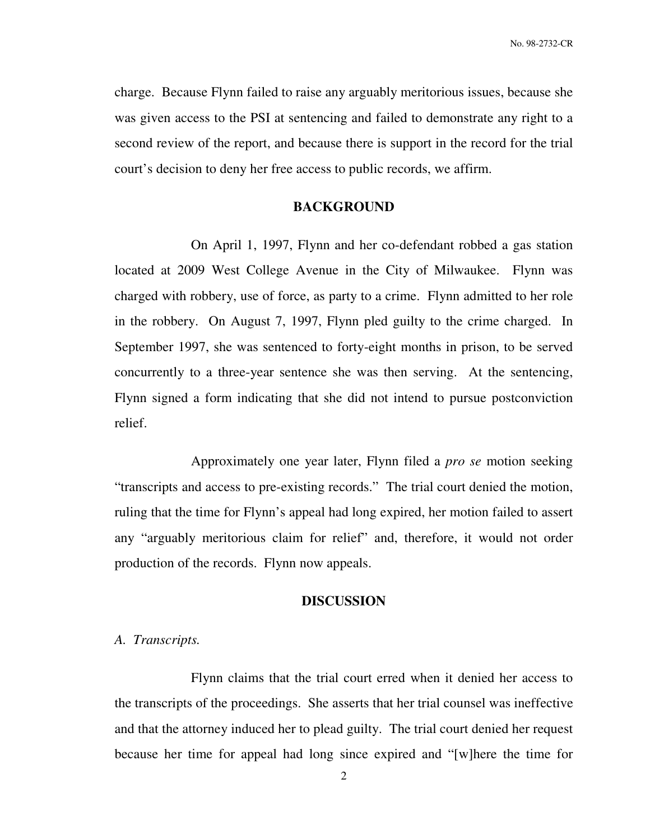No. 98-2732-CR

charge. Because Flynn failed to raise any arguably meritorious issues, because she was given access to the PSI at sentencing and failed to demonstrate any right to a second review of the report, and because there is support in the record for the trial court's decision to deny her free access to public records, we affirm.

### **BACKGROUND**

On April 1, 1997, Flynn and her co-defendant robbed a gas station located at 2009 West College Avenue in the City of Milwaukee. Flynn was charged with robbery, use of force, as party to a crime. Flynn admitted to her role in the robbery. On August 7, 1997, Flynn pled guilty to the crime charged. In September 1997, she was sentenced to forty-eight months in prison, to be served concurrently to a three-year sentence she was then serving. At the sentencing, Flynn signed a form indicating that she did not intend to pursue postconviction relief.

 Approximately one year later, Flynn filed a *pro se* motion seeking "transcripts and access to pre-existing records." The trial court denied the motion, ruling that the time for Flynn's appeal had long expired, her motion failed to assert any "arguably meritorious claim for relief" and, therefore, it would not order production of the records. Flynn now appeals.

### **DISCUSSION**

### *A. Transcripts.*

 Flynn claims that the trial court erred when it denied her access to the transcripts of the proceedings. She asserts that her trial counsel was ineffective and that the attorney induced her to plead guilty. The trial court denied her request because her time for appeal had long since expired and "[w]here the time for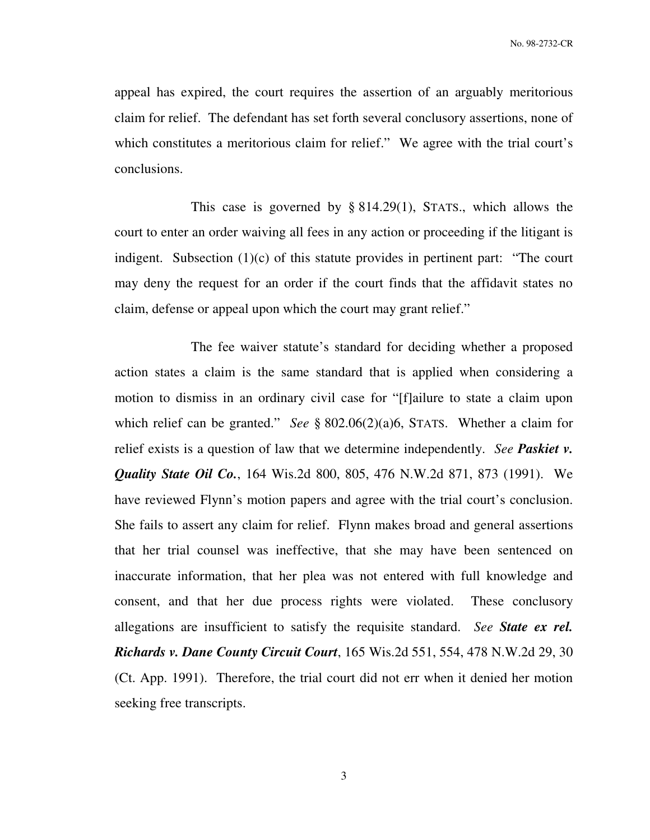appeal has expired, the court requires the assertion of an arguably meritorious claim for relief. The defendant has set forth several conclusory assertions, none of which constitutes a meritorious claim for relief." We agree with the trial court's conclusions.

This case is governed by  $\S 814.29(1)$ , STATS., which allows the court to enter an order waiving all fees in any action or proceeding if the litigant is indigent. Subsection (1)(c) of this statute provides in pertinent part: "The court may deny the request for an order if the court finds that the affidavit states no claim, defense or appeal upon which the court may grant relief."

 The fee waiver statute's standard for deciding whether a proposed action states a claim is the same standard that is applied when considering a motion to dismiss in an ordinary civil case for "[f]ailure to state a claim upon which relief can be granted." *See* § 802.06(2)(a)6, STATS. Whether a claim for relief exists is a question of law that we determine independently. *See Paskiet v. Quality State Oil Co.*, 164 Wis.2d 800, 805, 476 N.W.2d 871, 873 (1991). We have reviewed Flynn's motion papers and agree with the trial court's conclusion. She fails to assert any claim for relief. Flynn makes broad and general assertions that her trial counsel was ineffective, that she may have been sentenced on inaccurate information, that her plea was not entered with full knowledge and consent, and that her due process rights were violated. These conclusory allegations are insufficient to satisfy the requisite standard. *See State ex rel. Richards v. Dane County Circuit Court*, 165 Wis.2d 551, 554, 478 N.W.2d 29, 30 (Ct. App. 1991). Therefore, the trial court did not err when it denied her motion seeking free transcripts.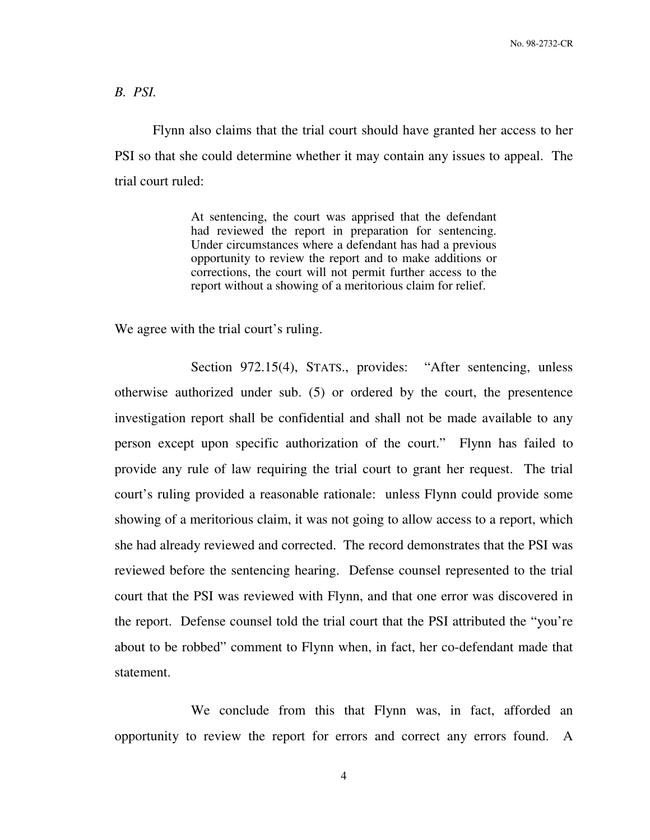No. 98-2732-CR

*B. PSI.*

 Flynn also claims that the trial court should have granted her access to her PSI so that she could determine whether it may contain any issues to appeal. The trial court ruled:

> At sentencing, the court was apprised that the defendant had reviewed the report in preparation for sentencing. Under circumstances where a defendant has had a previous opportunity to review the report and to make additions or corrections, the court will not permit further access to the report without a showing of a meritorious claim for relief.

We agree with the trial court's ruling.

Section 972.15(4), STATS., provides: "After sentencing, unless otherwise authorized under sub. (5) or ordered by the court, the presentence investigation report shall be confidential and shall not be made available to any person except upon specific authorization of the court." Flynn has failed to provide any rule of law requiring the trial court to grant her request. The trial court's ruling provided a reasonable rationale: unless Flynn could provide some showing of a meritorious claim, it was not going to allow access to a report, which she had already reviewed and corrected. The record demonstrates that the PSI was reviewed before the sentencing hearing. Defense counsel represented to the trial court that the PSI was reviewed with Flynn, and that one error was discovered in the report. Defense counsel told the trial court that the PSI attributed the "you're about to be robbed" comment to Flynn when, in fact, her co-defendant made that statement.

We conclude from this that Flynn was, in fact, afforded an opportunity to review the report for errors and correct any errors found. A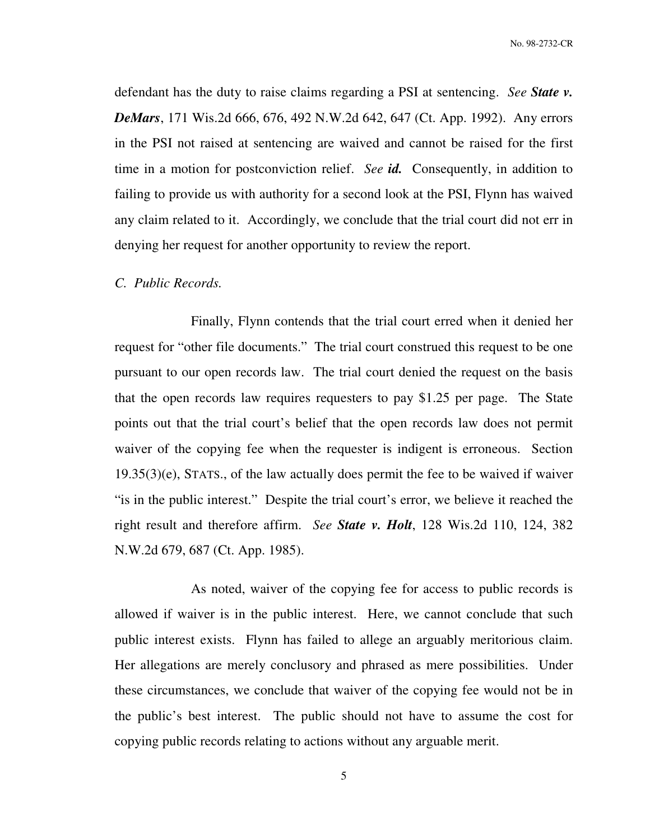No. 98-2732-CR

defendant has the duty to raise claims regarding a PSI at sentencing. *See State v. DeMars*, 171 Wis.2d 666, 676, 492 N.W.2d 642, 647 (Ct. App. 1992). Any errors in the PSI not raised at sentencing are waived and cannot be raised for the first time in a motion for postconviction relief. *See id.* Consequently, in addition to failing to provide us with authority for a second look at the PSI, Flynn has waived any claim related to it. Accordingly, we conclude that the trial court did not err in denying her request for another opportunity to review the report.

#### *C. Public Records.*

 Finally, Flynn contends that the trial court erred when it denied her request for "other file documents." The trial court construed this request to be one pursuant to our open records law. The trial court denied the request on the basis that the open records law requires requesters to pay \$1.25 per page. The State points out that the trial court's belief that the open records law does not permit waiver of the copying fee when the requester is indigent is erroneous. Section 19.35(3)(e), STATS., of the law actually does permit the fee to be waived if waiver "is in the public interest." Despite the trial court's error, we believe it reached the right result and therefore affirm. *See State v. Holt*, 128 Wis.2d 110, 124, 382 N.W.2d 679, 687 (Ct. App. 1985).

 As noted, waiver of the copying fee for access to public records is allowed if waiver is in the public interest. Here, we cannot conclude that such public interest exists. Flynn has failed to allege an arguably meritorious claim. Her allegations are merely conclusory and phrased as mere possibilities. Under these circumstances, we conclude that waiver of the copying fee would not be in the public's best interest. The public should not have to assume the cost for copying public records relating to actions without any arguable merit.